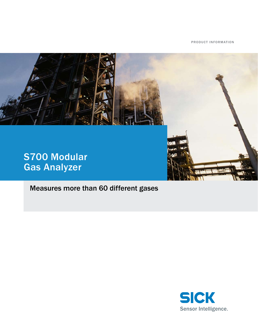Product information



Measures more than 60 different gases

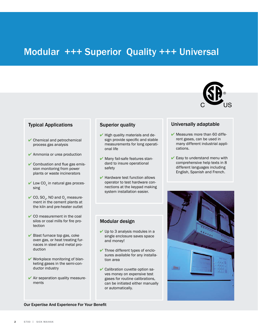## Modular +++ Superior Quality +++ Universal



## Typical Applications

- ✔ Chemical and petrochemical process gas analysis
- ✔ Ammonia or urea production
- ✔ Combustion and flue gas emission monitoring from power plants or waste incinerators
- $\blacktriangleright$  Low CO<sub>2</sub> in natural gas processing
- $\checkmark$  CO, SO<sub>2</sub>, NO and O<sub>2</sub> measurement in the cement plants at the kiln and pre-heater outlet
- $\vee$  CO measurement in the coal silos or coal mills for fire protection
- $\blacktriangleright$  Blast furnace top gas, coke oven gas, or heat treating furnaces in steel and metal production
- ✔ Workplace monitoring of blanketing gases in the semi-conductor industry
- $\blacktriangleright$  Air separation quality measurements

## Superior quality

- $\blacktriangleright$  High quality materials and design provide specific and stable measurements for long operational life
- ✔ Many fail-safe features standard to insure operational safety
- $\blacktriangleright$  Hardware test function allows operator to test hardware connections at the keypad making system installation easier.

### Modular design

- $\vee$  Up to 3 analysis modules in a single enclosure saves space and money!
- $\blacktriangleright$  Three different types of enclosures available for any installation area
- ✔ Calibration cuvette option saves money on expensive test gases for routine calibrations, can be initiated either manually or automatically.

## Universally adaptable

- $\blacktriangleright$  Measures more than 60 different gases, can be used in many different industrial applications.
- $\blacktriangleright$  Easy to understand menu with comprehensive help texts in 8 different languages including English, Spanish and French.



#### Our Expertise And Experience For Your Benefit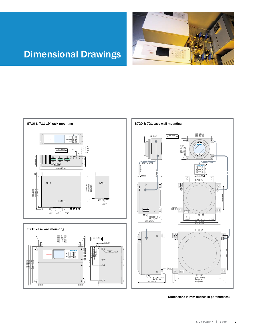

# Dimensional Drawings



<u>ञ्ज्</u>ड



Dimensions in mm (inches in parentheses)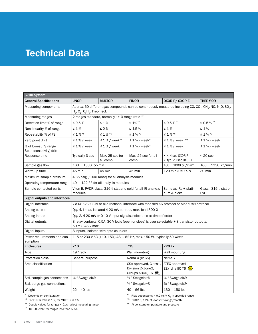## Technical Data

| S700 System                                      |                                                                                                                                                                                                                                  |                     |                                                                             |                                                      |                       |  |
|--------------------------------------------------|----------------------------------------------------------------------------------------------------------------------------------------------------------------------------------------------------------------------------------|---------------------|-----------------------------------------------------------------------------|------------------------------------------------------|-----------------------|--|
| <b>General Specifications</b>                    | <b>UNOR</b>                                                                                                                                                                                                                      | <b>MULTOR</b>       | <b>FINOR</b>                                                                | OXOR-P/OXOR E                                        | <b>THERMOR</b>        |  |
| Measuring components                             | Approx. 60 different gas compounds can be continuously measured including CO, CO <sub>2</sub> , CH <sub>4</sub> , NO, N <sub>2</sub> O, SO <sub>2</sub> ,<br>$H_2$ , O <sub>2</sub> , C <sub>n</sub> H <sub>m</sub> , Freon ect. |                     |                                                                             |                                                      |                       |  |
| Measuring ranges                                 | 2 ranges standard, normally 1:10 range ratio *2                                                                                                                                                                                  |                     |                                                                             |                                                      |                       |  |
| Detection limit % of range                       | $\leq 0.5\%$                                                                                                                                                                                                                     | $\leq 1\%$          | $\leq 1\%$ **                                                               | $\leq$ 0.5 % $^{**}$                                 | $\leq$ 0.5 % $^{**}$  |  |
| Non linearity % of range                         | $\leq$ 1 %                                                                                                                                                                                                                       | $\leq$ 2 $\%$       | $\leq 1.5$ %                                                                | $\leq 1\%$                                           | $\leq 1\%$            |  |
| Repeatablity % of FS                             | $\leq$ 1 % $^{*6}$                                                                                                                                                                                                               | $\leq$ 1 % $^{*6}$  | $\leq$ 1 % $^{*6}$                                                          | $\leq$ 1 % $^{\star_{6}}$                            | $\leq$ 1 % $^{*6}$    |  |
| Zero point drift                                 | $\leq$ 1% / week                                                                                                                                                                                                                 | $\leq$ 1 % / week** | $\leq 1\%$ / week**                                                         | ≤ 1 % / week <sup>*3/5</sup>                         | $\leq$ 1% / week      |  |
| % of lowest FS range<br>Span (sensitivity) drift | $\leq 1\%$ / week                                                                                                                                                                                                                | $\leq 1\%$ / week   | $\leq 1\%$ / week**                                                         | $\leq 1\%$ / week                                    | $\leq 1\%$ / week     |  |
| Response time                                    | Typically 3 sec                                                                                                                                                                                                                  | Max, 25 sec for     | Max, 25 sec for all                                                         | $\bullet$ < 4 sec OXOR-P                             | $< 20$ sec            |  |
|                                                  |                                                                                                                                                                                                                                  | all comp.           | comp.                                                                       | $\cdot$ typ. 20 sec OXOR E                           |                       |  |
| Sample gas flow                                  | 160  1330 cc/min                                                                                                                                                                                                                 |                     |                                                                             | 160  1000 cc / min <sup>*4</sup>                     | 160  1330 cc/min      |  |
| Warm-up time                                     | 45 min                                                                                                                                                                                                                           | 45 min              | 45 min                                                                      | 120 min (OXOR-P)                                     | 30 min                |  |
| Maximum sample pressure                          | 4.35 psig (1300 mbar) for all analysis modules                                                                                                                                                                                   |                     |                                                                             |                                                      |                       |  |
| Operating temperature range                      | 40  122 °F for all analysis modules                                                                                                                                                                                              |                     |                                                                             |                                                      |                       |  |
| Sample contacted parts                           | Viton B, PVDF, glass, 316 ti stst and gold for all IR analysis<br>Same as IRs + plati-<br><b>PVDF</b><br>modules<br>num & nickel                                                                                                 |                     |                                                                             |                                                      | Glass, 316 ti stst or |  |
| Signal outputs and interfaces                    |                                                                                                                                                                                                                                  |                     |                                                                             |                                                      |                       |  |
| Digital interface                                | Via RS 232 C uni or bi-directional interface with modified AK protocol or Modbus® protocol                                                                                                                                       |                     |                                                                             |                                                      |                       |  |
| Analog outputs                                   | Qty. 4, linear, isolated 4-20 mA outputs, max. load 500 $\Omega$                                                                                                                                                                 |                     |                                                                             |                                                      |                       |  |
| Analog inputs                                    | Qty. 2, 4-20 mA or 0-10 V input signals, selectable at time of order                                                                                                                                                             |                     |                                                                             |                                                      |                       |  |
| Digital outputs                                  | 8 relay contacts, 0.5A, 30 V logic (open or close) is user selectable + 8 transistor outputs,<br>50 mA, 48 V max                                                                                                                 |                     |                                                                             |                                                      |                       |  |
| Digital inputs                                   | 8 inputs, isolated with opto-couplers                                                                                                                                                                                            |                     |                                                                             |                                                      |                       |  |
| Power requirements and con-<br>sumption          | 115 or 230 V AC (+10,-15%) 48  62 Hz, max. 150 W, typically 50 Watts                                                                                                                                                             |                     |                                                                             |                                                      |                       |  |
| <b>Enclosures</b>                                | 710                                                                                                                                                                                                                              |                     | 715                                                                         | 720 Ex                                               |                       |  |
| Type                                             | 19" rack                                                                                                                                                                                                                         |                     | Wall mounting                                                               | Wall mounting                                        |                       |  |
| Protection class                                 | General purpose                                                                                                                                                                                                                  |                     | Nema 4 (IP 65)                                                              | Nema <sub>7</sub>                                    |                       |  |
| Area classification                              |                                                                                                                                                                                                                                  |                     | CSA approved, Class1,<br>Division 2/Zone2,<br>Groups ABCD, T6 $\circledast$ | ATEX approved<br>EEx d ia IIC T6 $\langle x \rangle$ |                       |  |
| Std. sample gas connections                      | 1/4 " Swagelok®<br>1/4" Swagelok®                                                                                                                                                                                                |                     |                                                                             | 1/4 " Swagelok®                                      |                       |  |
| Std. purge gas connections                       | % "Swagelok®<br>3/ <sub>8</sub> " Swagelok®                                                                                                                                                                                      |                     |                                                                             |                                                      |                       |  |
| Weight                                           | $22 - 40$ lbs                                                                                                                                                                                                                    |                     | $40 - 66$ lbs                                                               | $130 - 150$ lbs                                      |                       |  |

\* Depends on configuration

 $*2$  For FINOR ratio is 1:2, for MULTOR is 1:5 \*\* Double values for ranges < 2x smallest measuring range  $*$ <sup>4</sup> Flow dependancy < 0.2 vol % O<sub>2</sub> in specified range

 $*5$  OXOR E,  $\leq 2\%$  of lowest FS range/month

 $*3$  Or 0.05 vol% for ranges less than 5 % O<sub>2</sub>

\*6 At constant temperature and pressure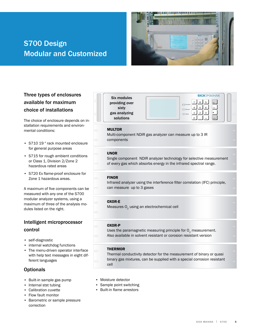## **S700 Design** Modular and customized



## Three types of enclosures available for maximum choice of installations

The choice of enclosure depends on installation requirements and environmental conditions:

- S710 19" rack mounted enclosure for general purpose areas
- S715 for rough ambient conditions or Class 1, Division 2/Zone 2 hazardous rated areas
- S720 Ex flame-proof enclosure for Zone 1 hazardous areas.

A maximum of five components can be measured with any one of the S700 modular analyzer systems, using a maximum of three of the analysis modules listed on the right.

## intelligent microprocessor control

- self-diagnostic
- internal watchdog functions
- The menu-driven operator interface with help text messages in eight different languages

## **Optionals**

- Built-in sample gas pump
- Internal stst tubing
- Calibration cuvette •
- Flow fault monitor
- Barometric or sample pressure correction

| Six modules    |
|----------------|
| providing over |
| sixty          |
| gas analyzing  |
| solutions      |

**SICK MAIHAK** Function Service Alarm

#### $8$  9  $5$   $\overline{6}$  $1 \mid 2 \mid 3$ 0 Esc Help Enter

## **MULTOR**

Multi-component NDIR gas analyzer can measure up to 3 IR components

## **UNOR**

Single component NDIR analyzer technology for selective measurement of every gas which absorbs energy in the infrared spectral range.

### **FINOR**

Infrared analyzer using the interference filter correlation (IFC) principle, can measure up to 3 gases

## **OXOR-E**

Measures O<sub>2</sub> using an electrochemical cell

## **OXOR-P**

Uses the paramagnetic measuring principle for  $O<sub>2</sub>$  measurement. Also available in solvent resistant or corosion resistant version

## **THERMOR**

Thermal conductivity detector for the measurement of binary or quasi binary gas mixtures, can be supplied with a special corrosion resistant cell

- Moisture detector
- Sample point switching
- Built-in flame arrestors